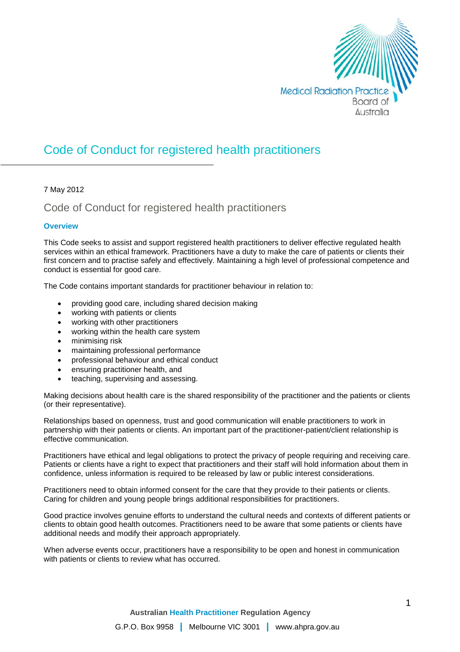

# Code of Conduct for registered health practitioners

### 7 May 2012

# Code of Conduct for registered health practitioners

### **Overview**

This Code seeks to assist and support registered health practitioners to deliver effective regulated health services within an ethical framework. Practitioners have a duty to make the care of patients or clients their first concern and to practise safely and effectively. Maintaining a high level of professional competence and conduct is essential for good care.

The Code contains important standards for practitioner behaviour in relation to:

- providing good care, including shared decision making
- working with patients or clients
- working with other practitioners
- working within the health care system
- minimising risk
- maintaining professional performance
- professional behaviour and ethical conduct
- ensuring practitioner health, and
- teaching, supervising and assessing.

Making decisions about health care is the shared responsibility of the practitioner and the patients or clients (or their representative).

Relationships based on openness, trust and good communication will enable practitioners to work in partnership with their patients or clients. An important part of the practitioner-patient/client relationship is effective communication.

Practitioners have ethical and legal obligations to protect the privacy of people requiring and receiving care. Patients or clients have a right to expect that practitioners and their staff will hold information about them in confidence, unless information is required to be released by law or public interest considerations.

Practitioners need to obtain informed consent for the care that they provide to their patients or clients. Caring for children and young people brings additional responsibilities for practitioners.

Good practice involves genuine efforts to understand the cultural needs and contexts of different patients or clients to obtain good health outcomes. Practitioners need to be aware that some patients or clients have additional needs and modify their approach appropriately.

When adverse events occur, practitioners have a responsibility to be open and honest in communication with patients or clients to review what has occurred.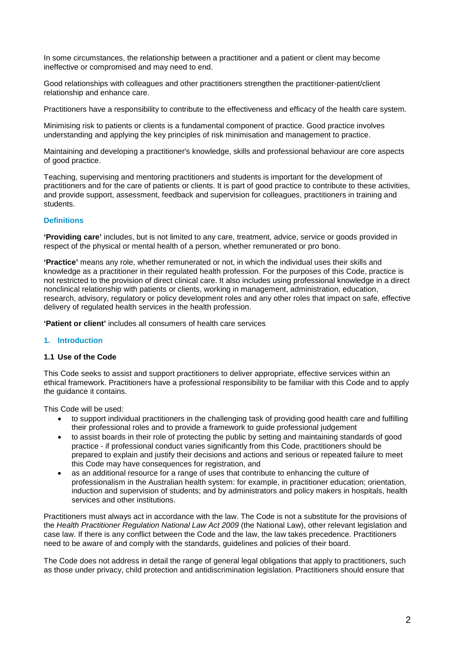In some circumstances, the relationship between a practitioner and a patient or client may become ineffective or compromised and may need to end.

Good relationships with colleagues and other practitioners strengthen the practitioner-patient/client relationship and enhance care.

Practitioners have a responsibility to contribute to the effectiveness and efficacy of the health care system.

Minimising risk to patients or clients is a fundamental component of practice. Good practice involves understanding and applying the key principles of risk minimisation and management to practice.

Maintaining and developing a practitioner's knowledge, skills and professional behaviour are core aspects of good practice.

Teaching, supervising and mentoring practitioners and students is important for the development of practitioners and for the care of patients or clients. It is part of good practice to contribute to these activities, and provide support, assessment, feedback and supervision for colleagues, practitioners in training and students.

### **Definitions**

**'Providing care'** includes, but is not limited to any care, treatment, advice, service or goods provided in respect of the physical or mental health of a person, whether remunerated or pro bono.

**'Practice'** means any role, whether remunerated or not, in which the individual uses their skills and knowledge as a practitioner in their regulated health profession. For the purposes of this Code, practice is not restricted to the provision of direct clinical care. It also includes using professional knowledge in a direct nonclinical relationship with patients or clients, working in management, administration, education, research, advisory, regulatory or policy development roles and any other roles that impact on safe, effective delivery of regulated health services in the health profession.

**'Patient or client'** includes all consumers of health care services

### **1. Introduction**

#### **1.1 Use of the Code**

This Code seeks to assist and support practitioners to deliver appropriate, effective services within an ethical framework. Practitioners have a professional responsibility to be familiar with this Code and to apply the guidance it contains.

This Code will be used:

- to support individual practitioners in the challenging task of providing good health care and fulfilling their professional roles and to provide a framework to guide professional judgement
- to assist boards in their role of protecting the public by setting and maintaining standards of good practice - if professional conduct varies significantly from this Code, practitioners should be prepared to explain and justify their decisions and actions and serious or repeated failure to meet this Code may have consequences for registration, and
- as an additional resource for a range of uses that contribute to enhancing the culture of professionalism in the Australian health system: for example, in practitioner education; orientation, induction and supervision of students; and by administrators and policy makers in hospitals, health services and other institutions.

Practitioners must always act in accordance with the law. The Code is not a substitute for the provisions of the *Health Practitioner Regulation National Law Act 2009* (the National Law), other relevant legislation and case law. If there is any conflict between the Code and the law, the law takes precedence. Practitioners need to be aware of and comply with the standards, guidelines and policies of their board.

The Code does not address in detail the range of general legal obligations that apply to practitioners, such as those under privacy, child protection and antidiscrimination legislation. Practitioners should ensure that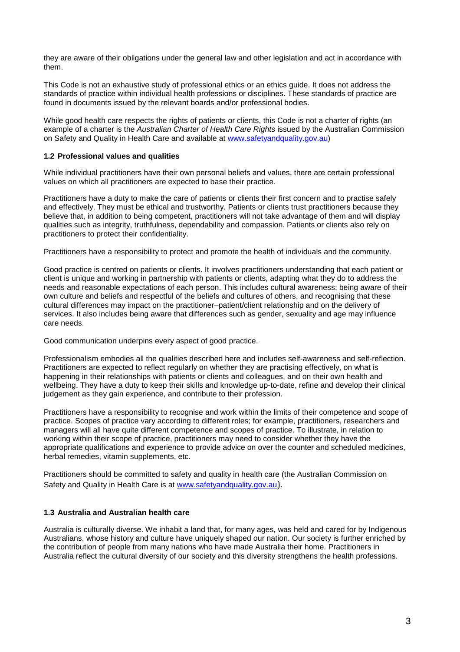they are aware of their obligations under the general law and other legislation and act in accordance with them.

This Code is not an exhaustive study of professional ethics or an ethics guide. It does not address the standards of practice within individual health professions or disciplines. These standards of practice are found in documents issued by the relevant boards and/or professional bodies.

While good health care respects the rights of patients or clients, this Code is not a charter of rights (an example of a charter is the *Australian Charter of Health Care Rights* issued by the Australian Commission on Safety and Quality in Health Care and available at [www.safetyandquality.gov.au\)](http://www.safetyandquality.gov.au/)

### **1.2 Professional values and qualities**

While individual practitioners have their own personal beliefs and values, there are certain professional values on which all practitioners are expected to base their practice.

Practitioners have a duty to make the care of patients or clients their first concern and to practise safely and effectively. They must be ethical and trustworthy. Patients or clients trust practitioners because they believe that, in addition to being competent, practitioners will not take advantage of them and will display qualities such as integrity, truthfulness, dependability and compassion. Patients or clients also rely on practitioners to protect their confidentiality.

Practitioners have a responsibility to protect and promote the health of individuals and the community.

Good practice is centred on patients or clients. It involves practitioners understanding that each patient or client is unique and working in partnership with patients or clients, adapting what they do to address the needs and reasonable expectations of each person. This includes cultural awareness: being aware of their own culture and beliefs and respectful of the beliefs and cultures of others, and recognising that these cultural differences may impact on the practitioner–patient/client relationship and on the delivery of services. It also includes being aware that differences such as gender, sexuality and age may influence care needs.

Good communication underpins every aspect of good practice.

Professionalism embodies all the qualities described here and includes self-awareness and self-reflection. Practitioners are expected to reflect regularly on whether they are practising effectively, on what is happening in their relationships with patients or clients and colleagues, and on their own health and wellbeing. They have a duty to keep their skills and knowledge up-to-date, refine and develop their clinical judgement as they gain experience, and contribute to their profession.

Practitioners have a responsibility to recognise and work within the limits of their competence and scope of practice. Scopes of practice vary according to different roles; for example, practitioners, researchers and managers will all have quite different competence and scopes of practice. To illustrate, in relation to working within their scope of practice, practitioners may need to consider whether they have the appropriate qualifications and experience to provide advice on over the counter and scheduled medicines, herbal remedies, vitamin supplements, etc.

Practitioners should be committed to safety and quality in health care (the Australian Commission on Safety and Quality in Health Care is at [www.safetyandquality.gov.au](http://www.safetyandquality.gov.au/)).

### **1.3 Australia and Australian health care**

Australia is culturally diverse. We inhabit a land that, for many ages, was held and cared for by Indigenous Australians, whose history and culture have uniquely shaped our nation. Our society is further enriched by the contribution of people from many nations who have made Australia their home. Practitioners in Australia reflect the cultural diversity of our society and this diversity strengthens the health professions.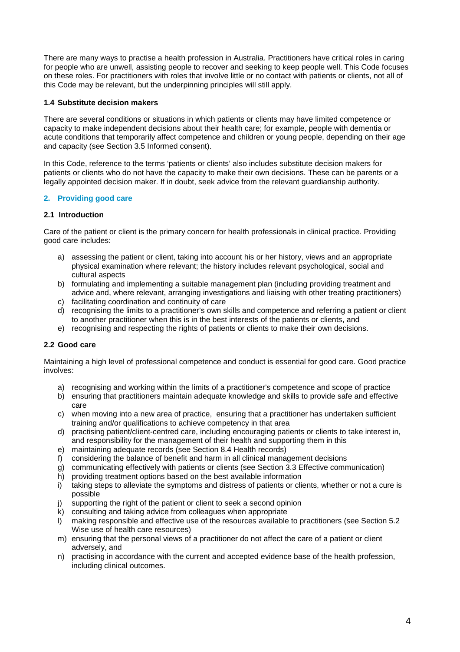There are many ways to practise a health profession in Australia. Practitioners have critical roles in caring for people who are unwell, assisting people to recover and seeking to keep people well. This Code focuses on these roles. For practitioners with roles that involve little or no contact with patients or clients, not all of this Code may be relevant, but the underpinning principles will still apply.

### **1.4 Substitute decision makers**

There are several conditions or situations in which patients or clients may have limited competence or capacity to make independent decisions about their health care; for example, people with dementia or acute conditions that temporarily affect competence and children or young people, depending on their age and capacity (see Section 3.5 Informed consent).

In this Code, reference to the terms 'patients or clients' also includes substitute decision makers for patients or clients who do not have the capacity to make their own decisions. These can be parents or a legally appointed decision maker. If in doubt, seek advice from the relevant guardianship authority.

# **2. Providing good care**

### **2.1 Introduction**

Care of the patient or client is the primary concern for health professionals in clinical practice. Providing good care includes:

- a) assessing the patient or client, taking into account his or her history, views and an appropriate physical examination where relevant; the history includes relevant psychological, social and cultural aspects
- b) formulating and implementing a suitable management plan (including providing treatment and advice and, where relevant, arranging investigations and liaising with other treating practitioners)
- c) facilitating coordination and continuity of care
- d) recognising the limits to a practitioner's own skills and competence and referring a patient or client to another practitioner when this is in the best interests of the patients or clients, and
- e) recognising and respecting the rights of patients or clients to make their own decisions.

### **2.2 Good care**

Maintaining a high level of professional competence and conduct is essential for good care. Good practice involves:

- a) recognising and working within the limits of a practitioner's competence and scope of practice
- b) ensuring that practitioners maintain adequate knowledge and skills to provide safe and effective care
- c) when moving into a new area of practice, ensuring that a practitioner has undertaken sufficient training and/or qualifications to achieve competency in that area
- d) practising patient/client-centred care, including encouraging patients or clients to take interest in, and responsibility for the management of their health and supporting them in this
- e) maintaining adequate records (see Section 8.4 Health records)
- f) considering the balance of benefit and harm in all clinical management decisions
- g) communicating effectively with patients or clients (see Section 3.3 Effective communication)
- h) providing treatment options based on the best available information
- i) taking steps to alleviate the symptoms and distress of patients or clients, whether or not a cure is possible
- j) supporting the right of the patient or client to seek a second opinion
- k) consulting and taking advice from colleagues when appropriate
- l) making responsible and effective use of the resources available to practitioners (see Section 5.2 Wise use of health care resources)
- m) ensuring that the personal views of a practitioner do not affect the care of a patient or client adversely, and
- n) practising in accordance with the current and accepted evidence base of the health profession, including clinical outcomes.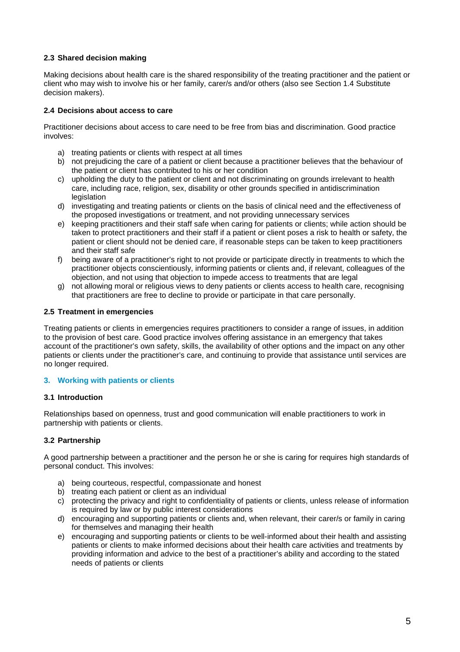### **2.3 Shared decision making**

Making decisions about health care is the shared responsibility of the treating practitioner and the patient or client who may wish to involve his or her family, carer/s and/or others (also see Section 1.4 Substitute decision makers).

### **2.4 Decisions about access to care**

Practitioner decisions about access to care need to be free from bias and discrimination. Good practice involves:

- a) treating patients or clients with respect at all times
- b) not prejudicing the care of a patient or client because a practitioner believes that the behaviour of the patient or client has contributed to his or her condition
- c) upholding the duty to the patient or client and not discriminating on grounds irrelevant to health care, including race, religion, sex, disability or other grounds specified in antidiscrimination legislation
- d) investigating and treating patients or clients on the basis of clinical need and the effectiveness of the proposed investigations or treatment, and not providing unnecessary services
- e) keeping practitioners and their staff safe when caring for patients or clients; while action should be taken to protect practitioners and their staff if a patient or client poses a risk to health or safety, the patient or client should not be denied care, if reasonable steps can be taken to keep practitioners and their staff safe
- f) being aware of a practitioner's right to not provide or participate directly in treatments to which the practitioner objects conscientiously, informing patients or clients and, if relevant, colleagues of the objection, and not using that objection to impede access to treatments that are legal
- g) not allowing moral or religious views to deny patients or clients access to health care, recognising that practitioners are free to decline to provide or participate in that care personally.

### **2.5 Treatment in emergencies**

Treating patients or clients in emergencies requires practitioners to consider a range of issues, in addition to the provision of best care. Good practice involves offering assistance in an emergency that takes account of the practitioner's own safety, skills, the availability of other options and the impact on any other patients or clients under the practitioner's care, and continuing to provide that assistance until services are no longer required.

### **3. Working with patients or clients**

### **3.1 Introduction**

Relationships based on openness, trust and good communication will enable practitioners to work in partnership with patients or clients.

# **3.2 Partnership**

A good partnership between a practitioner and the person he or she is caring for requires high standards of personal conduct. This involves:

- a) being courteous, respectful, compassionate and honest
- b) treating each patient or client as an individual
- c) protecting the privacy and right to confidentiality of patients or clients, unless release of information is required by law or by public interest considerations
- d) encouraging and supporting patients or clients and, when relevant, their carer/s or family in caring for themselves and managing their health
- e) encouraging and supporting patients or clients to be well-informed about their health and assisting patients or clients to make informed decisions about their health care activities and treatments by providing information and advice to the best of a practitioner's ability and according to the stated needs of patients or clients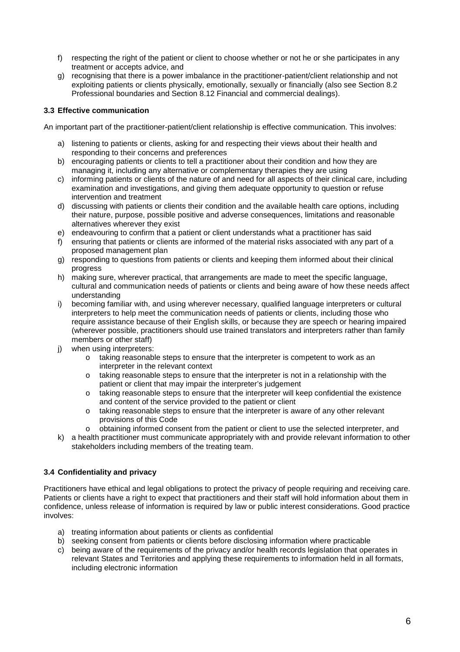- f) respecting the right of the patient or client to choose whether or not he or she participates in any treatment or accepts advice, and
- g) recognising that there is a power imbalance in the practitioner-patient/client relationship and not exploiting patients or clients physically, emotionally, sexually or financially (also see Section 8.2 Professional boundaries and Section 8.12 Financial and commercial dealings).

# **3.3 Effective communication**

An important part of the practitioner-patient/client relationship is effective communication. This involves:

- a) listening to patients or clients, asking for and respecting their views about their health and responding to their concerns and preferences
- b) encouraging patients or clients to tell a practitioner about their condition and how they are managing it, including any alternative or complementary therapies they are using
- c) informing patients or clients of the nature of and need for all aspects of their clinical care, including examination and investigations, and giving them adequate opportunity to question or refuse intervention and treatment
- d) discussing with patients or clients their condition and the available health care options, including their nature, purpose, possible positive and adverse consequences, limitations and reasonable alternatives wherever they exist
- e) endeavouring to confirm that a patient or client understands what a practitioner has said
- f) ensuring that patients or clients are informed of the material risks associated with any part of a proposed management plan
- g) responding to questions from patients or clients and keeping them informed about their clinical progress
- h) making sure, wherever practical, that arrangements are made to meet the specific language, cultural and communication needs of patients or clients and being aware of how these needs affect understanding
- i) becoming familiar with, and using wherever necessary, qualified language interpreters or cultural interpreters to help meet the communication needs of patients or clients, including those who require assistance because of their English skills, or because they are speech or hearing impaired (wherever possible, practitioners should use trained translators and interpreters rather than family members or other staff)
- j) when using interpreters:
	- o taking reasonable steps to ensure that the interpreter is competent to work as an interpreter in the relevant context
	- $\circ$  taking reasonable steps to ensure that the interpreter is not in a relationship with the patient or client that may impair the interpreter's judgement
	- $\circ$  taking reasonable steps to ensure that the interpreter will keep confidential the existence and content of the service provided to the patient or client
	- o taking reasonable steps to ensure that the interpreter is aware of any other relevant provisions of this Code
	- o obtaining informed consent from the patient or client to use the selected interpreter, and
- k) a health practitioner must communicate appropriately with and provide relevant information to other stakeholders including members of the treating team.

### **3.4 Confidentiality and privacy**

Practitioners have ethical and legal obligations to protect the privacy of people requiring and receiving care. Patients or clients have a right to expect that practitioners and their staff will hold information about them in confidence, unless release of information is required by law or public interest considerations. Good practice involves:

- a) treating information about patients or clients as confidential
- b) seeking consent from patients or clients before disclosing information where practicable
- c) being aware of the requirements of the privacy and/or health records legislation that operates in relevant States and Territories and applying these requirements to information held in all formats, including electronic information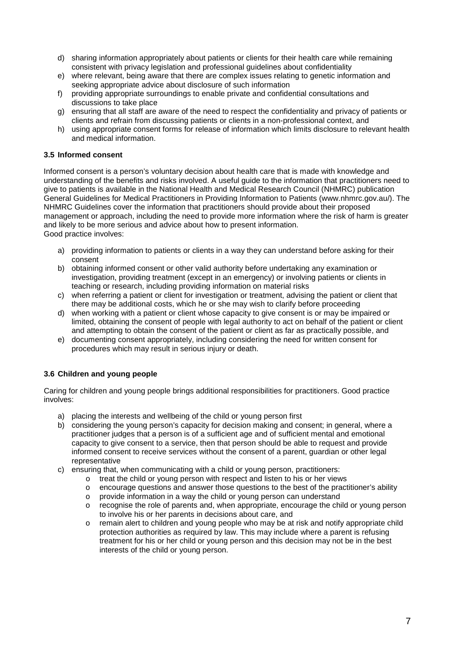- d) sharing information appropriately about patients or clients for their health care while remaining consistent with privacy legislation and professional guidelines about confidentiality
- e) where relevant, being aware that there are complex issues relating to genetic information and seeking appropriate advice about disclosure of such information
- f) providing appropriate surroundings to enable private and confidential consultations and discussions to take place
- g) ensuring that all staff are aware of the need to respect the confidentiality and privacy of patients or clients and refrain from discussing patients or clients in a non-professional context, and
- h) using appropriate consent forms for release of information which limits disclosure to relevant health and medical information.

### **3.5 Informed consent**

Informed consent is a person's voluntary decision about health care that is made with knowledge and understanding of the benefits and risks involved. A useful guide to the information that practitioners need to give to patients is available in the National Health and Medical Research Council (NHMRC) publication General Guidelines for Medical Practitioners in Providing Information to Patients (www.nhmrc.gov.au/). The NHMRC Guidelines cover the information that practitioners should provide about their proposed management or approach, including the need to provide more information where the risk of harm is greater and likely to be more serious and advice about how to present information. Good practice involves:

- a) providing information to patients or clients in a way they can understand before asking for their consent
- b) obtaining informed consent or other valid authority before undertaking any examination or investigation, providing treatment (except in an emergency) or involving patients or clients in teaching or research, including providing information on material risks
- c) when referring a patient or client for investigation or treatment, advising the patient or client that there may be additional costs, which he or she may wish to clarify before proceeding
- d) when working with a patient or client whose capacity to give consent is or may be impaired or limited, obtaining the consent of people with legal authority to act on behalf of the patient or client and attempting to obtain the consent of the patient or client as far as practically possible, and
- e) documenting consent appropriately, including considering the need for written consent for procedures which may result in serious injury or death.

# **3.6 Children and young people**

Caring for children and young people brings additional responsibilities for practitioners. Good practice involves:

- a) placing the interests and wellbeing of the child or young person first
- b) considering the young person's capacity for decision making and consent; in general, where a practitioner judges that a person is of a sufficient age and of sufficient mental and emotional capacity to give consent to a service, then that person should be able to request and provide informed consent to receive services without the consent of a parent, guardian or other legal representative
- c) ensuring that, when communicating with a child or young person, practitioners:
	- o treat the child or young person with respect and listen to his or her views
	- o encourage questions and answer those questions to the best of the practitioner's ability o provide information in a way the child or young person can understand
	- $\circ$  provide information in a way the child or young person can understand  $\circ$  recognise the role of parents and, when appropriate, encourage the chi
	- recognise the role of parents and, when appropriate, encourage the child or young person to involve his or her parents in decisions about care, and
	- o remain alert to children and young people who may be at risk and notify appropriate child protection authorities as required by law. This may include where a parent is refusing treatment for his or her child or young person and this decision may not be in the best interests of the child or young person.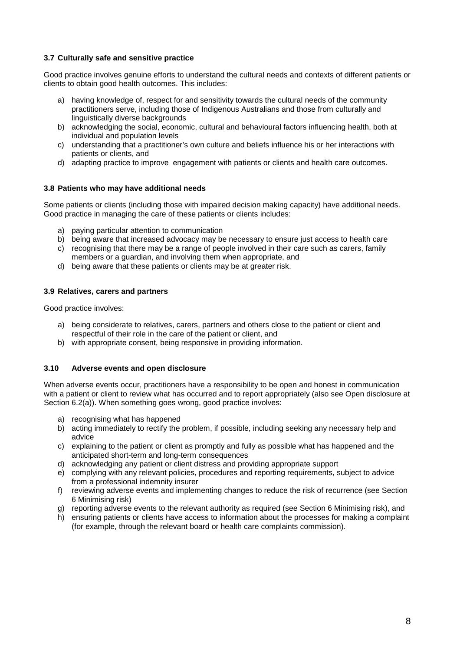### **3.7 Culturally safe and sensitive practice**

Good practice involves genuine efforts to understand the cultural needs and contexts of different patients or clients to obtain good health outcomes. This includes:

- a) having knowledge of, respect for and sensitivity towards the cultural needs of the community practitioners serve, including those of Indigenous Australians and those from culturally and linguistically diverse backgrounds
- b) acknowledging the social, economic, cultural and behavioural factors influencing health, both at individual and population levels
- c) understanding that a practitioner's own culture and beliefs influence his or her interactions with patients or clients, and
- d) adapting practice to improve engagement with patients or clients and health care outcomes.

### **3.8 Patients who may have additional needs**

Some patients or clients (including those with impaired decision making capacity) have additional needs. Good practice in managing the care of these patients or clients includes:

- a) paying particular attention to communication
- b) being aware that increased advocacy may be necessary to ensure just access to health care
- c) recognising that there may be a range of people involved in their care such as carers, family members or a guardian, and involving them when appropriate, and
- d) being aware that these patients or clients may be at greater risk.

### **3.9 Relatives, carers and partners**

Good practice involves:

- a) being considerate to relatives, carers, partners and others close to the patient or client and respectful of their role in the care of the patient or client, and
- b) with appropriate consent, being responsive in providing information.

### **3.10 Adverse events and open disclosure**

When adverse events occur, practitioners have a responsibility to be open and honest in communication with a patient or client to review what has occurred and to report appropriately (also see Open disclosure at Section 6.2(a)). When something goes wrong, good practice involves:

- a) recognising what has happened
- b) acting immediately to rectify the problem, if possible, including seeking any necessary help and advice
- c) explaining to the patient or client as promptly and fully as possible what has happened and the anticipated short-term and long-term consequences
- d) acknowledging any patient or client distress and providing appropriate support
- e) complying with any relevant policies, procedures and reporting requirements, subject to advice from a professional indemnity insurer
- f) reviewing adverse events and implementing changes to reduce the risk of recurrence (see Section 6 Minimising risk)
- g) reporting adverse events to the relevant authority as required (see Section 6 Minimising risk), and
- h) ensuring patients or clients have access to information about the processes for making a complaint (for example, through the relevant board or health care complaints commission).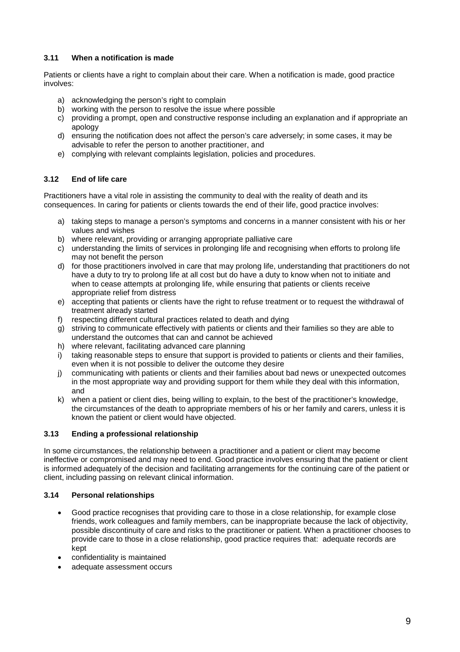### **3.11 When a notification is made**

Patients or clients have a right to complain about their care. When a notification is made, good practice involves:

- a) acknowledging the person's right to complain
- b) working with the person to resolve the issue where possible
- c) providing a prompt, open and constructive response including an explanation and if appropriate an apology
- d) ensuring the notification does not affect the person's care adversely; in some cases, it may be advisable to refer the person to another practitioner, and
- e) complying with relevant complaints legislation, policies and procedures.

# **3.12 End of life care**

Practitioners have a vital role in assisting the community to deal with the reality of death and its consequences. In caring for patients or clients towards the end of their life, good practice involves:

- a) taking steps to manage a person's symptoms and concerns in a manner consistent with his or her values and wishes
- b) where relevant, providing or arranging appropriate palliative care
- c) understanding the limits of services in prolonging life and recognising when efforts to prolong life may not benefit the person
- d) for those practitioners involved in care that may prolong life, understanding that practitioners do not have a duty to try to prolong life at all cost but do have a duty to know when not to initiate and when to cease attempts at prolonging life, while ensuring that patients or clients receive appropriate relief from distress
- e) accepting that patients or clients have the right to refuse treatment or to request the withdrawal of treatment already started
- f) respecting different cultural practices related to death and dying
- g) striving to communicate effectively with patients or clients and their families so they are able to understand the outcomes that can and cannot be achieved
- h) where relevant, facilitating advanced care planning
- i) taking reasonable steps to ensure that support is provided to patients or clients and their families, even when it is not possible to deliver the outcome they desire
- j) communicating with patients or clients and their families about bad news or unexpected outcomes in the most appropriate way and providing support for them while they deal with this information, and
- k) when a patient or client dies, being willing to explain, to the best of the practitioner's knowledge, the circumstances of the death to appropriate members of his or her family and carers, unless it is known the patient or client would have objected.

### **3.13 Ending a professional relationship**

In some circumstances, the relationship between a practitioner and a patient or client may become ineffective or compromised and may need to end. Good practice involves ensuring that the patient or client is informed adequately of the decision and facilitating arrangements for the continuing care of the patient or client, including passing on relevant clinical information.

### **3.14 Personal relationships**

- Good practice recognises that providing care to those in a close relationship, for example close friends, work colleagues and family members, can be inappropriate because the lack of objectivity, possible discontinuity of care and risks to the practitioner or patient. When a practitioner chooses to provide care to those in a close relationship, good practice requires that: adequate records are kept
- confidentiality is maintained
- adequate assessment occurs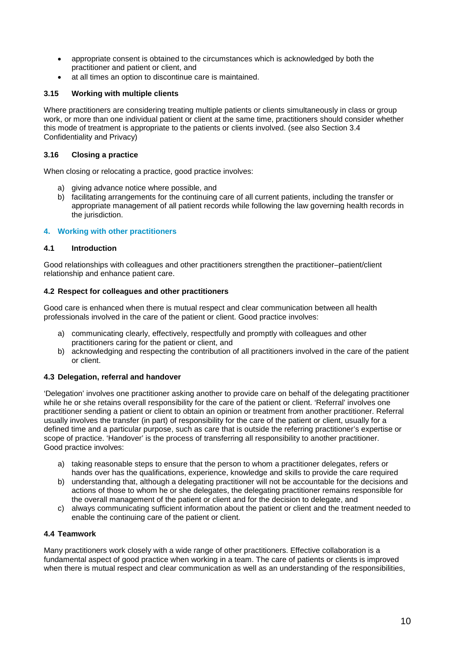- appropriate consent is obtained to the circumstances which is acknowledged by both the practitioner and patient or client, and
- at all times an option to discontinue care is maintained.

### **3.15 Working with multiple clients**

Where practitioners are considering treating multiple patients or clients simultaneously in class or group work, or more than one individual patient or client at the same time, practitioners should consider whether this mode of treatment is appropriate to the patients or clients involved. (see also Section 3.4 Confidentiality and Privacy)

### **3.16 Closing a practice**

When closing or relocating a practice, good practice involves:

- a) giving advance notice where possible, and
- b) facilitating arrangements for the continuing care of all current patients, including the transfer or appropriate management of all patient records while following the law governing health records in the jurisdiction.

### **4. Working with other practitioners**

### **4.1 Introduction**

Good relationships with colleagues and other practitioners strengthen the practitioner–patient/client relationship and enhance patient care.

### **4.2 Respect for colleagues and other practitioners**

Good care is enhanced when there is mutual respect and clear communication between all health professionals involved in the care of the patient or client. Good practice involves:

- a) communicating clearly, effectively, respectfully and promptly with colleagues and other practitioners caring for the patient or client, and
- b) acknowledging and respecting the contribution of all practitioners involved in the care of the patient or client.

### **4.3 Delegation, referral and handover**

'Delegation' involves one practitioner asking another to provide care on behalf of the delegating practitioner while he or she retains overall responsibility for the care of the patient or client. 'Referral' involves one practitioner sending a patient or client to obtain an opinion or treatment from another practitioner. Referral usually involves the transfer (in part) of responsibility for the care of the patient or client, usually for a defined time and a particular purpose, such as care that is outside the referring practitioner's expertise or scope of practice. 'Handover' is the process of transferring all responsibility to another practitioner. Good practice involves:

- a) taking reasonable steps to ensure that the person to whom a practitioner delegates, refers or hands over has the qualifications, experience, knowledge and skills to provide the care required
- b) understanding that, although a delegating practitioner will not be accountable for the decisions and actions of those to whom he or she delegates, the delegating practitioner remains responsible for the overall management of the patient or client and for the decision to delegate, and
- c) always communicating sufficient information about the patient or client and the treatment needed to enable the continuing care of the patient or client.

### **4.4 Teamwork**

Many practitioners work closely with a wide range of other practitioners. Effective collaboration is a fundamental aspect of good practice when working in a team. The care of patients or clients is improved when there is mutual respect and clear communication as well as an understanding of the responsibilities,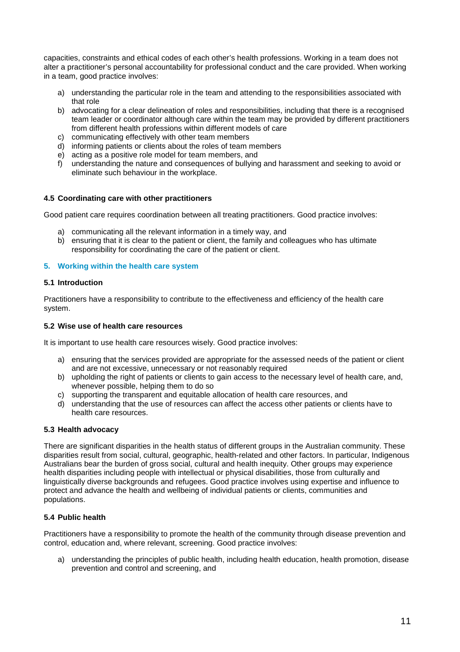capacities, constraints and ethical codes of each other's health professions. Working in a team does not alter a practitioner's personal accountability for professional conduct and the care provided. When working in a team, good practice involves:

- a) understanding the particular role in the team and attending to the responsibilities associated with that role
- b) advocating for a clear delineation of roles and responsibilities, including that there is a recognised team leader or coordinator although care within the team may be provided by different practitioners from different health professions within different models of care
- c) communicating effectively with other team members
- d) informing patients or clients about the roles of team members
- e) acting as a positive role model for team members, and
- f) understanding the nature and consequences of bullying and harassment and seeking to avoid or eliminate such behaviour in the workplace.

#### **4.5 Coordinating care with other practitioners**

Good patient care requires coordination between all treating practitioners. Good practice involves:

- a) communicating all the relevant information in a timely way, and
- b) ensuring that it is clear to the patient or client, the family and colleagues who has ultimate responsibility for coordinating the care of the patient or client.

#### **5. Working within the health care system**

#### **5.1 Introduction**

Practitioners have a responsibility to contribute to the effectiveness and efficiency of the health care system.

#### **5.2 Wise use of health care resources**

It is important to use health care resources wisely. Good practice involves:

- a) ensuring that the services provided are appropriate for the assessed needs of the patient or client and are not excessive, unnecessary or not reasonably required
- b) upholding the right of patients or clients to gain access to the necessary level of health care, and, whenever possible, helping them to do so
- c) supporting the transparent and equitable allocation of health care resources, and
- d) understanding that the use of resources can affect the access other patients or clients have to health care resources.

#### **5.3 Health advocacy**

There are significant disparities in the health status of different groups in the Australian community. These disparities result from social, cultural, geographic, health-related and other factors. In particular, Indigenous Australians bear the burden of gross social, cultural and health inequity. Other groups may experience health disparities including people with intellectual or physical disabilities, those from culturally and linguistically diverse backgrounds and refugees. Good practice involves using expertise and influence to protect and advance the health and wellbeing of individual patients or clients, communities and populations.

### **5.4 Public health**

Practitioners have a responsibility to promote the health of the community through disease prevention and control, education and, where relevant, screening. Good practice involves:

a) understanding the principles of public health, including health education, health promotion, disease prevention and control and screening, and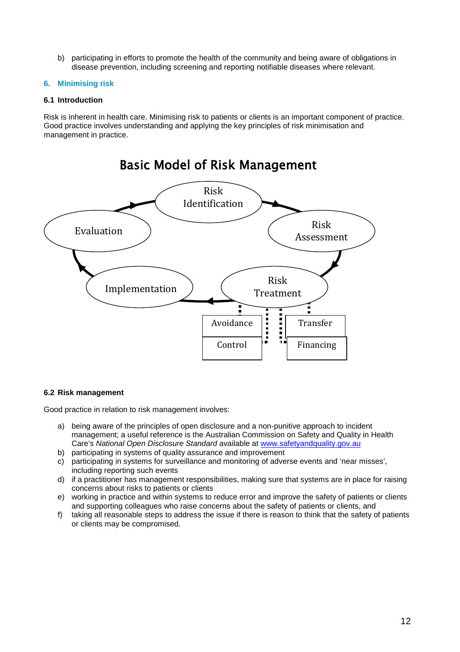b) participating in efforts to promote the health of the community and being aware of obligations in disease prevention, including screening and reporting notifiable diseases where relevant.

### **6. Minimising risk**

### **6.1 Introduction**

Risk is inherent in health care. Minimising risk to patients or clients is an important component of practice. Good practice involves understanding and applying the key principles of risk minimisation and management in practice.



### **6.2 Risk management**

Good practice in relation to risk management involves:

- a) being aware of the principles of open disclosure and a non-punitive approach to incident management; a useful reference is the Australian Commission on Safety and Quality in Health Care's *National Open Disclosure Standard* available at [www.safetyandquality.gov.au](http://www.safetyandquality.gov.au/)
- b) participating in systems of quality assurance and improvement
- c) participating in systems for surveillance and monitoring of adverse events and 'near misses', including reporting such events
- d) if a practitioner has management responsibilities, making sure that systems are in place for raising concerns about risks to patients or clients
- e) working in practice and within systems to reduce error and improve the safety of patients or clients and supporting colleagues who raise concerns about the safety of patients or clients, and
- f) taking all reasonable steps to address the issue if there is reason to think that the safety of patients or clients may be compromised.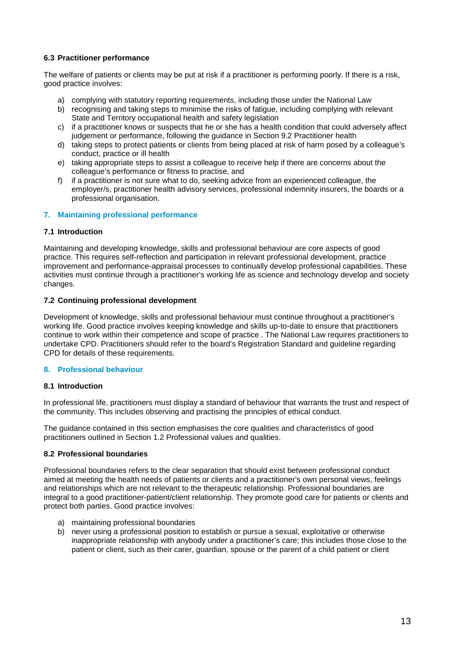### **6.3 Practitioner performance**

The welfare of patients or clients may be put at risk if a practitioner is performing poorly. If there is a risk, good practice involves:

- a) complying with statutory reporting requirements, including those under the National Law
- b) recognising and taking steps to minimise the risks of fatigue, including complying with relevant State and Territory occupational health and safety legislation
- c) if a practitioner knows or suspects that he or she has a health condition that could adversely affect judgement or performance, following the guidance in Section 9.2 Practitioner health
- d) taking steps to protect patients or clients from being placed at risk of harm posed by a colleague's conduct, practice or ill health
- e) taking appropriate steps to assist a colleague to receive help if there are concerns about the colleague's performance or fitness to practise, and
- f) if a practitioner is not sure what to do, seeking advice from an experienced colleague, the employer/s, practitioner health advisory services, professional indemnity insurers, the boards or a professional organisation.

### **7. Maintaining professional performance**

### **7.1 Introduction**

Maintaining and developing knowledge, skills and professional behaviour are core aspects of good practice. This requires self-reflection and participation in relevant professional development, practice improvement and performance-appraisal processes to continually develop professional capabilities. These activities must continue through a practitioner's working life as science and technology develop and society changes.

### **7.2 Continuing professional development**

Development of knowledge, skills and professional behaviour must continue throughout a practitioner's working life. Good practice involves keeping knowledge and skills up-to-date to ensure that practitioners continue to work within their competence and scope of practice . The National Law requires practitioners to undertake CPD. Practitioners should refer to the board's Registration Standard and guideline regarding CPD for details of these requirements.

# **8. Professional behaviour**

### **8.1 Introduction**

In professional life, practitioners must display a standard of behaviour that warrants the trust and respect of the community. This includes observing and practising the principles of ethical conduct.

The guidance contained in this section emphasises the core qualities and characteristics of good practitioners outlined in Section 1.2 Professional values and qualities.

### **8.2 Professional boundaries**

Professional boundaries refers to the clear separation that should exist between professional conduct aimed at meeting the health needs of patients or clients and a practitioner's own personal views, feelings and relationships which are not relevant to the therapeutic relationship. Professional boundaries are integral to a good practitioner-patient/client relationship. They promote good care for patients or clients and protect both parties. Good practice involves:

- a) maintaining professional boundaries
- b) never using a professional position to establish or pursue a sexual, exploitative or otherwise inappropriate relationship with anybody under a practitioner's care; this includes those close to the patient or client, such as their carer, guardian, spouse or the parent of a child patient or client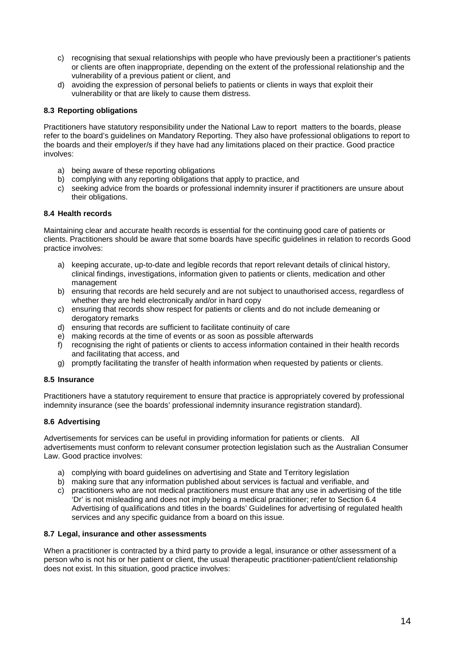- c) recognising that sexual relationships with people who have previously been a practitioner's patients or clients are often inappropriate, depending on the extent of the professional relationship and the vulnerability of a previous patient or client, and
- d) avoiding the expression of personal beliefs to patients or clients in ways that exploit their vulnerability or that are likely to cause them distress.

### **8.3 Reporting obligations**

Practitioners have statutory responsibility under the National Law to report matters to the boards, please refer to the board's guidelines on Mandatory Reporting. They also have professional obligations to report to the boards and their employer/s if they have had any limitations placed on their practice. Good practice involves:

- a) being aware of these reporting obligations
- b) complying with any reporting obligations that apply to practice, and
- c) seeking advice from the boards or professional indemnity insurer if practitioners are unsure about their obligations.

### **8.4 Health records**

Maintaining clear and accurate health records is essential for the continuing good care of patients or clients. Practitioners should be aware that some boards have specific guidelines in relation to records Good practice involves:

- a) keeping accurate, up-to-date and legible records that report relevant details of clinical history, clinical findings, investigations, information given to patients or clients, medication and other management
- b) ensuring that records are held securely and are not subject to unauthorised access, regardless of whether they are held electronically and/or in hard copy
- c) ensuring that records show respect for patients or clients and do not include demeaning or derogatory remarks
- d) ensuring that records are sufficient to facilitate continuity of care
- e) making records at the time of events or as soon as possible afterwards
- f) recognising the right of patients or clients to access information contained in their health records and facilitating that access, and
- g) promptly facilitating the transfer of health information when requested by patients or clients.

#### **8.5 Insurance**

Practitioners have a statutory requirement to ensure that practice is appropriately covered by professional indemnity insurance (see the boards' professional indemnity insurance registration standard).

### **8.6 Advertising**

Advertisements for services can be useful in providing information for patients or clients. All advertisements must conform to relevant consumer protection legislation such as the Australian Consumer Law. Good practice involves:

- a) complying with board guidelines on advertising and State and Territory legislation
- b) making sure that any information published about services is factual and verifiable, and
- c) practitioners who are not medical practitioners must ensure that any use in advertising of the title 'Dr' is not misleading and does not imply being a medical practitioner; refer to Section 6.4 Advertising of qualifications and titles in the boards' Guidelines for advertising of regulated health services and any specific guidance from a board on this issue.

#### **8.7 Legal, insurance and other assessments**

When a practitioner is contracted by a third party to provide a legal, insurance or other assessment of a person who is not his or her patient or client, the usual therapeutic practitioner-patient/client relationship does not exist. In this situation, good practice involves: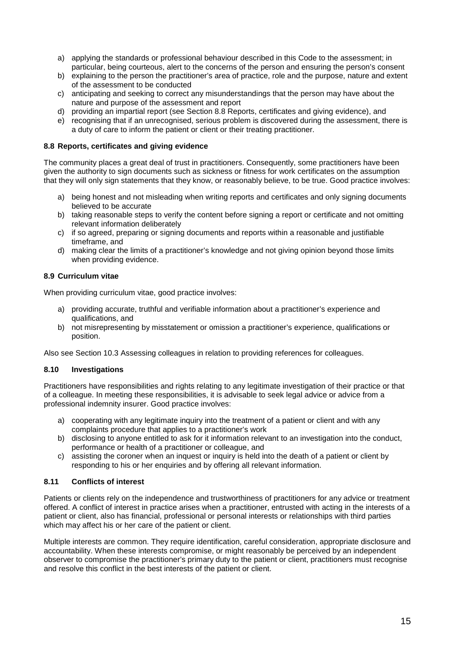- a) applying the standards or professional behaviour described in this Code to the assessment; in particular, being courteous, alert to the concerns of the person and ensuring the person's consent
- b) explaining to the person the practitioner's area of practice, role and the purpose, nature and extent of the assessment to be conducted
- c) anticipating and seeking to correct any misunderstandings that the person may have about the nature and purpose of the assessment and report
- d) providing an impartial report (see Section 8.8 Reports, certificates and giving evidence), and
- e) recognising that if an unrecognised, serious problem is discovered during the assessment, there is a duty of care to inform the patient or client or their treating practitioner.

### **8.8 Reports, certificates and giving evidence**

The community places a great deal of trust in practitioners. Consequently, some practitioners have been given the authority to sign documents such as sickness or fitness for work certificates on the assumption that they will only sign statements that they know, or reasonably believe, to be true. Good practice involves:

- a) being honest and not misleading when writing reports and certificates and only signing documents believed to be accurate
- b) taking reasonable steps to verify the content before signing a report or certificate and not omitting relevant information deliberately
- c) if so agreed, preparing or signing documents and reports within a reasonable and justifiable timeframe, and
- d) making clear the limits of a practitioner's knowledge and not giving opinion beyond those limits when providing evidence.

#### **8.9 Curriculum vitae**

When providing curriculum vitae, good practice involves:

- a) providing accurate, truthful and verifiable information about a practitioner's experience and qualifications, and
- b) not misrepresenting by misstatement or omission a practitioner's experience, qualifications or position.

Also see Section 10.3 Assessing colleagues in relation to providing references for colleagues.

### **8.10 Investigations**

Practitioners have responsibilities and rights relating to any legitimate investigation of their practice or that of a colleague. In meeting these responsibilities, it is advisable to seek legal advice or advice from a professional indemnity insurer. Good practice involves:

- a) cooperating with any legitimate inquiry into the treatment of a patient or client and with any complaints procedure that applies to a practitioner's work
- b) disclosing to anyone entitled to ask for it information relevant to an investigation into the conduct, performance or health of a practitioner or colleague, and
- c) assisting the coroner when an inquest or inquiry is held into the death of a patient or client by responding to his or her enquiries and by offering all relevant information.

### **8.11 Conflicts of interest**

Patients or clients rely on the independence and trustworthiness of practitioners for any advice or treatment offered. A conflict of interest in practice arises when a practitioner, entrusted with acting in the interests of a patient or client, also has financial, professional or personal interests or relationships with third parties which may affect his or her care of the patient or client.

Multiple interests are common. They require identification, careful consideration, appropriate disclosure and accountability. When these interests compromise, or might reasonably be perceived by an independent observer to compromise the practitioner's primary duty to the patient or client, practitioners must recognise and resolve this conflict in the best interests of the patient or client.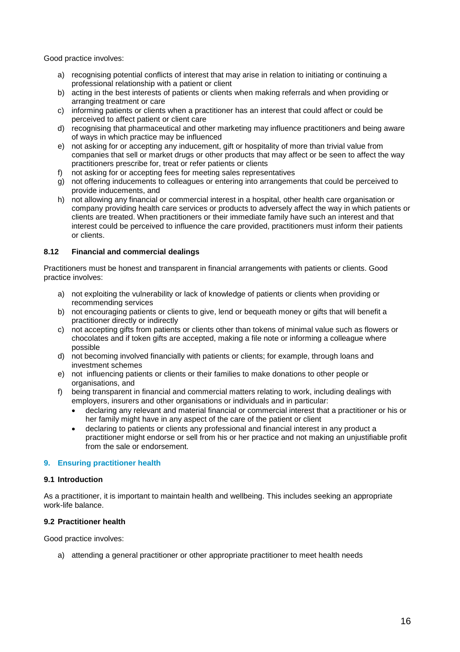Good practice involves:

- a) recognising potential conflicts of interest that may arise in relation to initiating or continuing a professional relationship with a patient or client
- b) acting in the best interests of patients or clients when making referrals and when providing or arranging treatment or care
- c) informing patients or clients when a practitioner has an interest that could affect or could be perceived to affect patient or client care
- d) recognising that pharmaceutical and other marketing may influence practitioners and being aware of ways in which practice may be influenced
- e) not asking for or accepting any inducement, gift or hospitality of more than trivial value from companies that sell or market drugs or other products that may affect or be seen to affect the way practitioners prescribe for, treat or refer patients or clients
- f) not asking for or accepting fees for meeting sales representatives
- g) not offering inducements to colleagues or entering into arrangements that could be perceived to provide inducements, and
- h) not allowing any financial or commercial interest in a hospital, other health care organisation or company providing health care services or products to adversely affect the way in which patients or clients are treated. When practitioners or their immediate family have such an interest and that interest could be perceived to influence the care provided, practitioners must inform their patients or clients.

### **8.12 Financial and commercial dealings**

Practitioners must be honest and transparent in financial arrangements with patients or clients. Good practice involves:

- a) not exploiting the vulnerability or lack of knowledge of patients or clients when providing or recommending services
- b) not encouraging patients or clients to give, lend or bequeath money or gifts that will benefit a practitioner directly or indirectly
- c) not accepting gifts from patients or clients other than tokens of minimal value such as flowers or chocolates and if token gifts are accepted, making a file note or informing a colleague where possible
- d) not becoming involved financially with patients or clients; for example, through loans and investment schemes
- e) not influencing patients or clients or their families to make donations to other people or organisations, and
- f) being transparent in financial and commercial matters relating to work, including dealings with employers, insurers and other organisations or individuals and in particular:
	- declaring any relevant and material financial or commercial interest that a practitioner or his or her family might have in any aspect of the care of the patient or client
	- declaring to patients or clients any professional and financial interest in any product a practitioner might endorse or sell from his or her practice and not making an unjustifiable profit from the sale or endorsement.

#### **9. Ensuring practitioner health**

#### **9.1 Introduction**

As a practitioner, it is important to maintain health and wellbeing. This includes seeking an appropriate work-life balance.

### **9.2 Practitioner health**

Good practice involves:

a) attending a general practitioner or other appropriate practitioner to meet health needs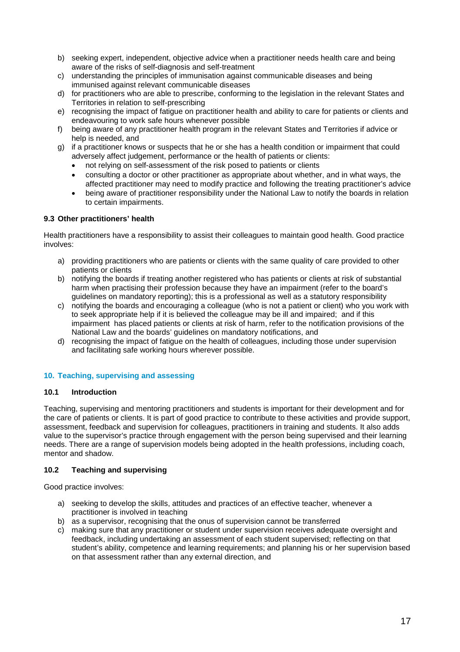- b) seeking expert, independent, objective advice when a practitioner needs health care and being aware of the risks of self-diagnosis and self-treatment
- c) understanding the principles of immunisation against communicable diseases and being immunised against relevant communicable diseases
- d) for practitioners who are able to prescribe, conforming to the legislation in the relevant States and Territories in relation to self-prescribing
- e) recognising the impact of fatigue on practitioner health and ability to care for patients or clients and endeavouring to work safe hours whenever possible
- f) being aware of any practitioner health program in the relevant States and Territories if advice or help is needed, and
- g) if a practitioner knows or suspects that he or she has a health condition or impairment that could adversely affect judgement, performance or the health of patients or clients:
	- not relying on self-assessment of the risk posed to patients or clients
	- consulting a doctor or other practitioner as appropriate about whether, and in what ways, the affected practitioner may need to modify practice and following the treating practitioner's advice
	- being aware of practitioner responsibility under the National Law to notify the boards in relation to certain impairments.

### **9.3 Other practitioners' health**

Health practitioners have a responsibility to assist their colleagues to maintain good health. Good practice involves:

- a) providing practitioners who are patients or clients with the same quality of care provided to other patients or clients
- b) notifying the boards if treating another registered who has patients or clients at risk of substantial harm when practising their profession because they have an impairment (refer to the board's guidelines on mandatory reporting); this is a professional as well as a statutory responsibility
- c) notifying the boards and encouraging a colleague (who is not a patient or client) who you work with to seek appropriate help if it is believed the colleague may be ill and impaired; and if this impairment has placed patients or clients at risk of harm, refer to the notification provisions of the National Law and the boards' guidelines on mandatory notifications, and
- d) recognising the impact of fatigue on the health of colleagues, including those under supervision and facilitating safe working hours wherever possible.

# **10. Teaching, supervising and assessing**

### **10.1 Introduction**

Teaching, supervising and mentoring practitioners and students is important for their development and for the care of patients or clients. It is part of good practice to contribute to these activities and provide support, assessment, feedback and supervision for colleagues, practitioners in training and students. It also adds value to the supervisor's practice through engagement with the person being supervised and their learning needs. There are a range of supervision models being adopted in the health professions, including coach, mentor and shadow.

### **10.2 Teaching and supervising**

Good practice involves:

- a) seeking to develop the skills, attitudes and practices of an effective teacher, whenever a practitioner is involved in teaching
- b) as a supervisor, recognising that the onus of supervision cannot be transferred
- c) making sure that any practitioner or student under supervision receives adequate oversight and feedback, including undertaking an assessment of each student supervised; reflecting on that student's ability, competence and learning requirements; and planning his or her supervision based on that assessment rather than any external direction, and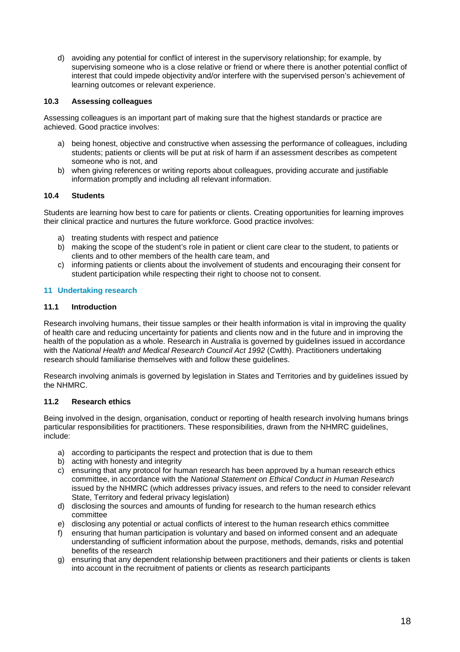d) avoiding any potential for conflict of interest in the supervisory relationship; for example, by supervising someone who is a close relative or friend or where there is another potential conflict of interest that could impede objectivity and/or interfere with the supervised person's achievement of learning outcomes or relevant experience.

### **10.3 Assessing colleagues**

Assessing colleagues is an important part of making sure that the highest standards or practice are achieved. Good practice involves:

- a) being honest, objective and constructive when assessing the performance of colleagues, including students; patients or clients will be put at risk of harm if an assessment describes as competent someone who is not, and
- b) when giving references or writing reports about colleagues, providing accurate and justifiable information promptly and including all relevant information.

### **10.4 Students**

Students are learning how best to care for patients or clients. Creating opportunities for learning improves their clinical practice and nurtures the future workforce. Good practice involves:

- a) treating students with respect and patience
- b) making the scope of the student's role in patient or client care clear to the student, to patients or clients and to other members of the health care team, and
- c) informing patients or clients about the involvement of students and encouraging their consent for student participation while respecting their right to choose not to consent.

### **11 Undertaking research**

### **11.1 Introduction**

Research involving humans, their tissue samples or their health information is vital in improving the quality of health care and reducing uncertainty for patients and clients now and in the future and in improving the health of the population as a whole. Research in Australia is governed by guidelines issued in accordance with the *National Health and Medical Research Council Act 1992* (Cwlth). Practitioners undertaking research should familiarise themselves with and follow these guidelines.

Research involving animals is governed by legislation in States and Territories and by guidelines issued by the NHMRC.

### **11.2 Research ethics**

Being involved in the design, organisation, conduct or reporting of health research involving humans brings particular responsibilities for practitioners. These responsibilities, drawn from the NHMRC guidelines, include:

- a) according to participants the respect and protection that is due to them
- b) acting with honesty and integrity
- c) ensuring that any protocol for human research has been approved by a human research ethics committee, in accordance with the *National Statement on Ethical Conduct in Human Research*  issued by the NHMRC (which addresses privacy issues, and refers to the need to consider relevant State, Territory and federal privacy legislation)
- d) disclosing the sources and amounts of funding for research to the human research ethics committee
- e) disclosing any potential or actual conflicts of interest to the human research ethics committee
- f) ensuring that human participation is voluntary and based on informed consent and an adequate understanding of sufficient information about the purpose, methods, demands, risks and potential benefits of the research
- g) ensuring that any dependent relationship between practitioners and their patients or clients is taken into account in the recruitment of patients or clients as research participants